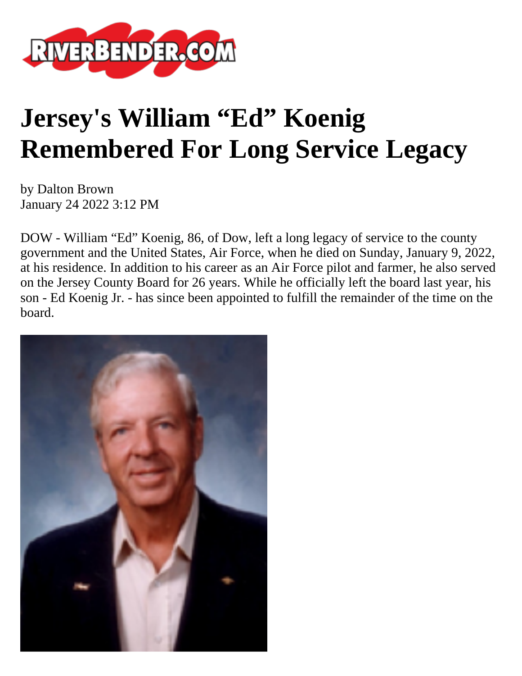

## **Jersey's William "Ed" Koenig Remembered For Long Service Legacy**

by Dalton Brown January 24 2022 3:12 PM

DOW - William "Ed" Koenig, 86, of Dow, left a long legacy of service to the county government and the United States, Air Force, when he died on Sunday, January 9, 2022, at his residence. In addition to his career as an Air Force pilot and farmer, he also served on the Jersey County Board for 26 years. While he officially left the board last year, his son - Ed Koenig Jr. - has since been appointed to fulfill the remainder of the time on the board.

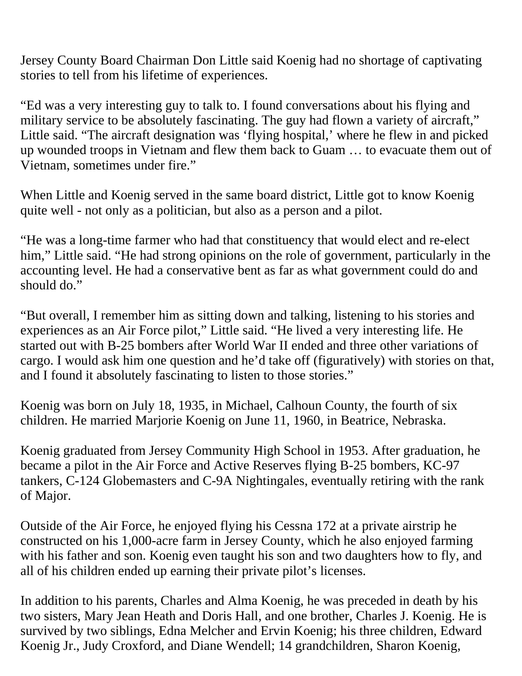Jersey County Board Chairman Don Little said Koenig had no shortage of captivating stories to tell from his lifetime of experiences.

"Ed was a very interesting guy to talk to. I found conversations about his flying and military service to be absolutely fascinating. The guy had flown a variety of aircraft," Little said. "The aircraft designation was 'flying hospital,' where he flew in and picked up wounded troops in Vietnam and flew them back to Guam … to evacuate them out of Vietnam, sometimes under fire."

When Little and Koenig served in the same board district, Little got to know Koenig quite well - not only as a politician, but also as a person and a pilot.

"He was a long-time farmer who had that constituency that would elect and re-elect him," Little said. "He had strong opinions on the role of government, particularly in the accounting level. He had a conservative bent as far as what government could do and should do."

"But overall, I remember him as sitting down and talking, listening to his stories and experiences as an Air Force pilot," Little said. "He lived a very interesting life. He started out with B-25 bombers after World War II ended and three other variations of cargo. I would ask him one question and he'd take off (figuratively) with stories on that, and I found it absolutely fascinating to listen to those stories."

Koenig was born on July 18, 1935, in Michael, Calhoun County, the fourth of six children. He married Marjorie Koenig on June 11, 1960, in Beatrice, Nebraska.

Koenig graduated from Jersey Community High School in 1953. After graduation, he became a pilot in the Air Force and Active Reserves flying B-25 bombers, KC-97 tankers, C-124 Globemasters and C-9A Nightingales, eventually retiring with the rank of Major.

Outside of the Air Force, he enjoyed flying his Cessna 172 at a private airstrip he constructed on his 1,000-acre farm in Jersey County, which he also enjoyed farming with his father and son. Koenig even taught his son and two daughters how to fly, and all of his children ended up earning their private pilot's licenses.

In addition to his parents, Charles and Alma Koenig, he was preceded in death by his two sisters, Mary Jean Heath and Doris Hall, and one brother, Charles J. Koenig. He is survived by two siblings, Edna Melcher and Ervin Koenig; his three children, Edward Koenig Jr., Judy Croxford, and Diane Wendell; 14 grandchildren, Sharon Koenig,